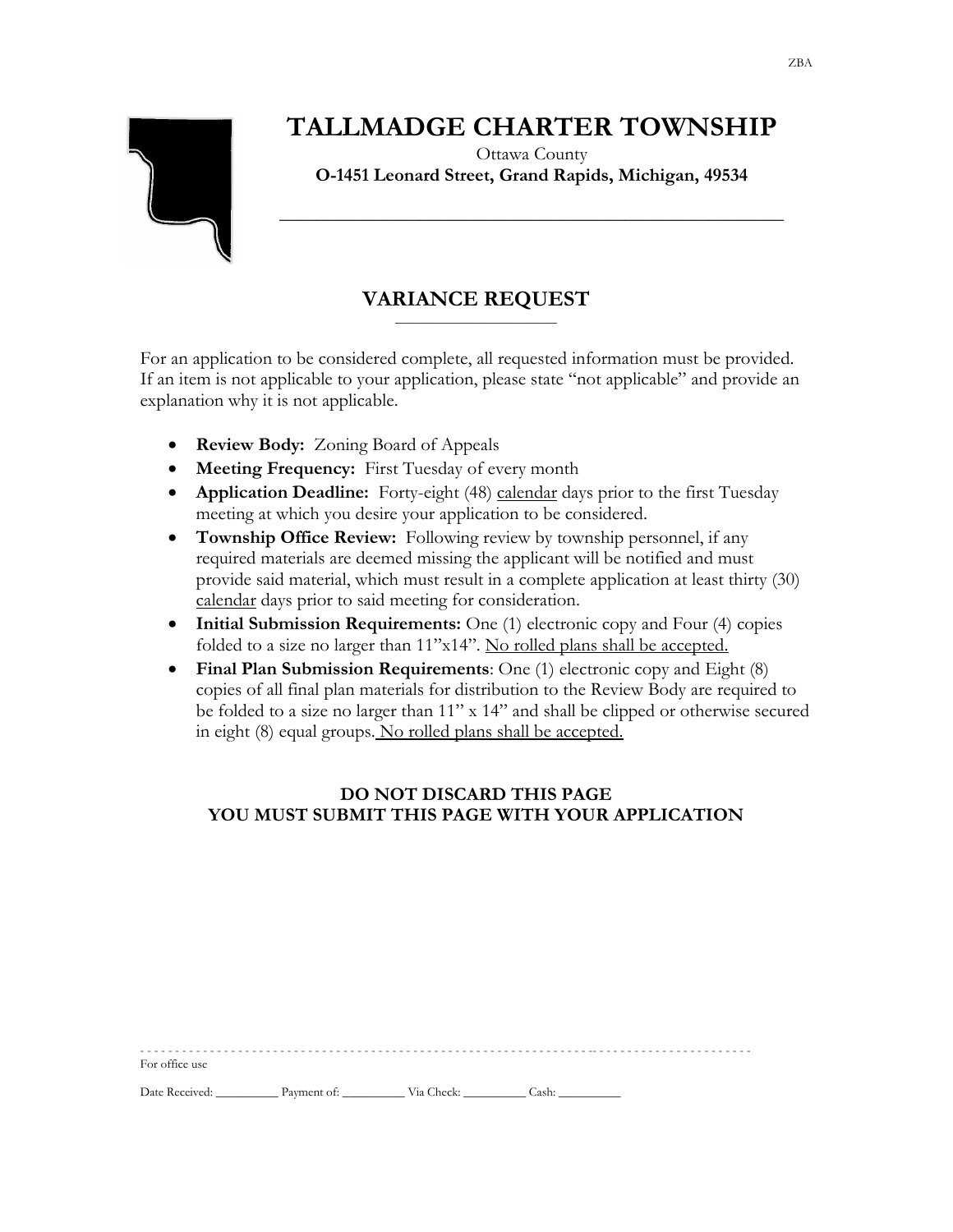# **TALLMADGE CHARTER TOWNSHIP**



For office use

## Ottawa County **O-1451 Leonard Street, Grand Rapids, Michigan, 49534**

**\_\_\_\_\_\_\_\_\_\_\_\_\_\_\_\_\_\_\_\_\_\_\_\_\_\_\_\_\_\_\_\_\_\_\_\_\_\_\_\_\_\_\_\_\_\_\_\_\_\_\_\_\_\_**

### **VARIANCE REQUEST** \_\_\_\_\_\_\_\_\_\_\_\_\_\_\_\_\_\_\_\_\_\_\_\_\_\_

For an application to be considered complete, all requested information must be provided. If an item is not applicable to your application, please state "not applicable" and provide an explanation why it is not applicable.

- **Review Body:** Zoning Board of Appeals
- **Meeting Frequency:** First Tuesday of every month
- **Application Deadline:** Forty-eight (48) calendar days prior to the first Tuesday meeting at which you desire your application to be considered.
- **Township Office Review:** Following review by township personnel, if any required materials are deemed missing the applicant will be notified and must provide said material, which must result in a complete application at least thirty (30) calendar days prior to said meeting for consideration.
- **Initial Submission Requirements:** One (1) electronic copy and Four (4) copies folded to a size no larger than 11"x14". No rolled plans shall be accepted.
- **Final Plan Submission Requirements**: One (1) electronic copy and Eight (8) copies of all final plan materials for distribution to the Review Body are required to be folded to a size no larger than  $11''$  x  $14''$  and shall be clipped or otherwise secured in eight (8) equal groups. No rolled plans shall be accepted.

## **DO NOT DISCARD THIS PAGE YOU MUST SUBMIT THIS PAGE WITH YOUR APPLICATION**

 $-$ 

Date Received: \_\_\_\_\_\_\_\_\_\_\_\_ Payment of: \_\_\_\_\_\_\_\_\_\_\_ Via Check: \_\_\_\_\_\_\_\_\_\_\_ Cash: \_\_\_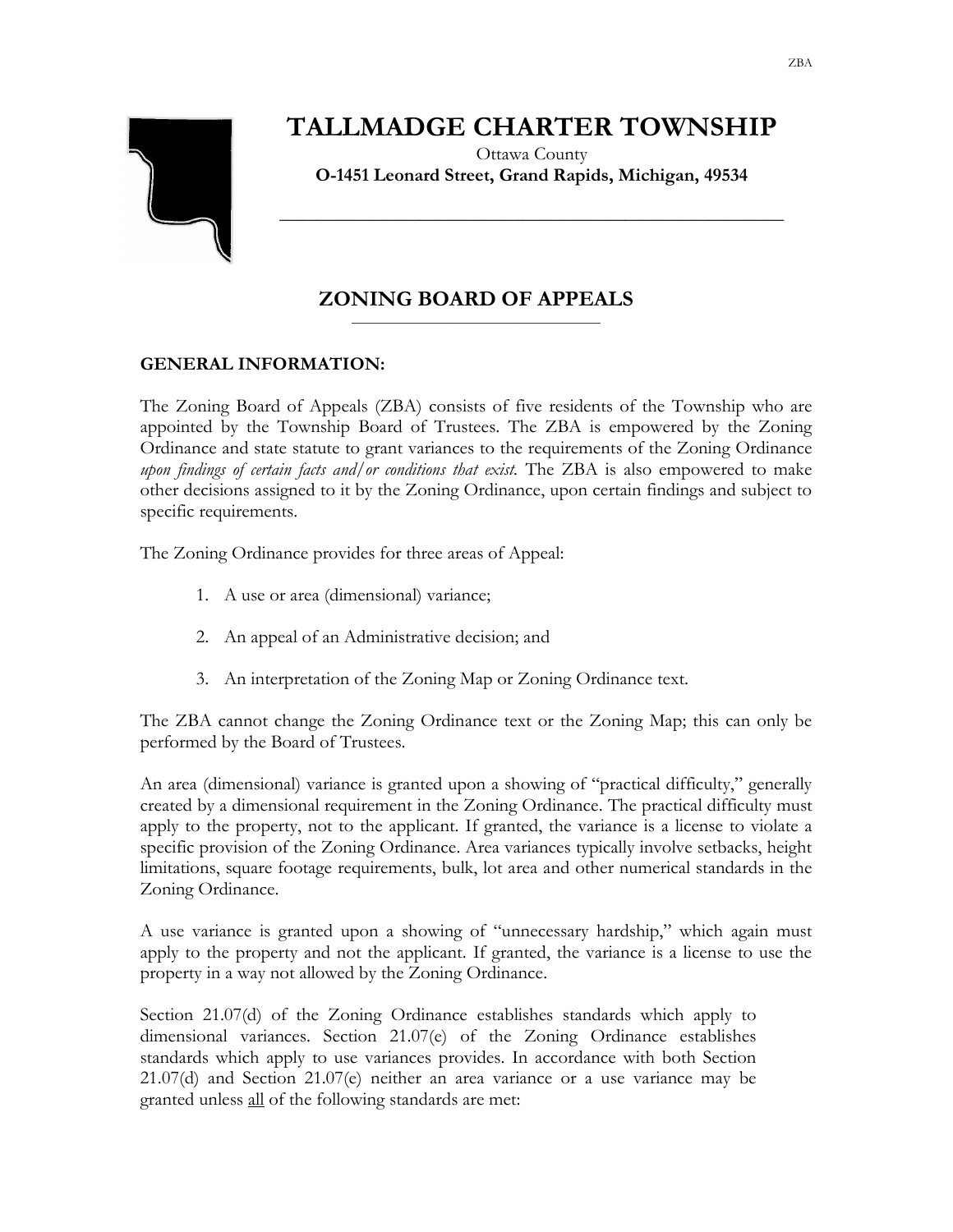# **TALLMADGE CHARTER TOWNSHIP**

Ottawa County **O-1451 Leonard Street, Grand Rapids, Michigan, 49534**

**\_\_\_\_\_\_\_\_\_\_\_\_\_\_\_\_\_\_\_\_\_\_\_\_\_\_\_\_\_\_\_\_\_\_\_\_\_\_\_\_\_\_\_\_\_\_\_\_\_\_\_\_\_\_**

### **ZONING BOARD OF APPEALS** \_\_\_\_\_\_\_\_\_\_\_\_\_\_\_\_\_\_\_\_\_\_\_\_\_\_\_\_\_\_\_\_\_\_\_\_\_\_\_\_

# **GENERAL INFORMATION:**

The Zoning Board of Appeals (ZBA) consists of five residents of the Township who are appointed by the Township Board of Trustees. The ZBA is empowered by the Zoning Ordinance and state statute to grant variances to the requirements of the Zoning Ordinance *upon findings of certain facts and/or conditions that exist.* The ZBA is also empowered to make other decisions assigned to it by the Zoning Ordinance, upon certain findings and subject to specific requirements.

The Zoning Ordinance provides for three areas of Appeal:

- 1. A use or area (dimensional) variance;
- 2. An appeal of an Administrative decision; and
- 3. An interpretation of the Zoning Map or Zoning Ordinance text.

The ZBA cannot change the Zoning Ordinance text or the Zoning Map; this can only be performed by the Board of Trustees.

An area (dimensional) variance is granted upon a showing of "practical difficulty," generally created by a dimensional requirement in the Zoning Ordinance. The practical difficulty must apply to the property, not to the applicant. If granted, the variance is a license to violate a specific provision of the Zoning Ordinance. Area variances typically involve setbacks, height limitations, square footage requirements, bulk, lot area and other numerical standards in the Zoning Ordinance.

A use variance is granted upon a showing of "unnecessary hardship," which again must apply to the property and not the applicant. If granted, the variance is a license to use the property in a way not allowed by the Zoning Ordinance.

Section 21.07(d) of the Zoning Ordinance establishes standards which apply to dimensional variances. Section 21.07(e) of the Zoning Ordinance establishes standards which apply to use variances provides. In accordance with both Section 21.07(d) and Section 21.07(e) neither an area variance or a use variance may be granted unless all of the following standards are met: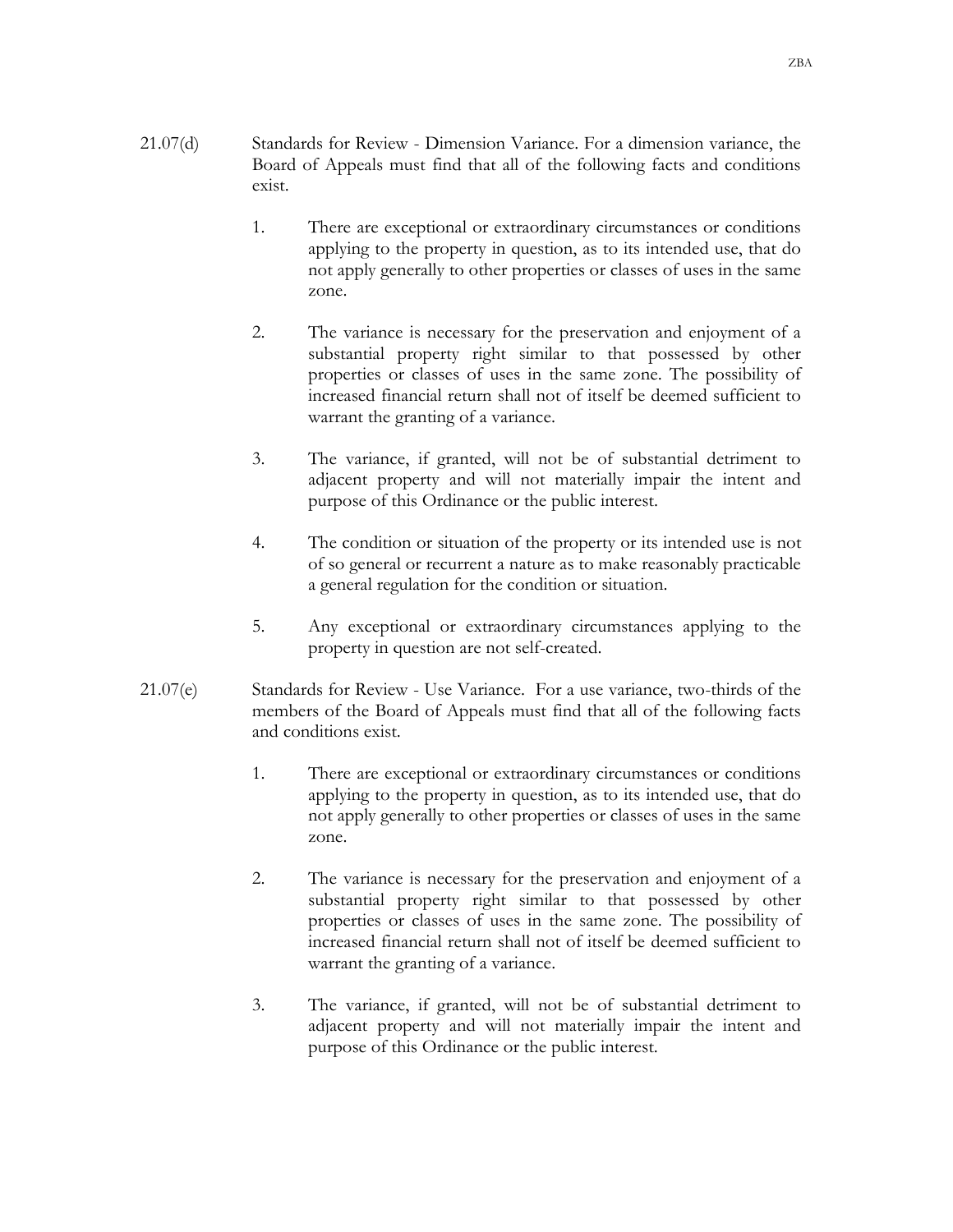- 21.07(d) Standards for Review Dimension Variance. For a dimension variance, the Board of Appeals must find that all of the following facts and conditions exist.
	- 1. There are exceptional or extraordinary circumstances or conditions applying to the property in question, as to its intended use, that do not apply generally to other properties or classes of uses in the same zone.
	- 2. The variance is necessary for the preservation and enjoyment of a substantial property right similar to that possessed by other properties or classes of uses in the same zone. The possibility of increased financial return shall not of itself be deemed sufficient to warrant the granting of a variance.
	- 3. The variance, if granted, will not be of substantial detriment to adjacent property and will not materially impair the intent and purpose of this Ordinance or the public interest.
	- 4. The condition or situation of the property or its intended use is not of so general or recurrent a nature as to make reasonably practicable a general regulation for the condition or situation.
	- 5. Any exceptional or extraordinary circumstances applying to the property in question are not self-created.
- 21.07(e) Standards for Review Use Variance. For a use variance, two-thirds of the members of the Board of Appeals must find that all of the following facts and conditions exist.
	- 1. There are exceptional or extraordinary circumstances or conditions applying to the property in question, as to its intended use, that do not apply generally to other properties or classes of uses in the same zone.
	- 2. The variance is necessary for the preservation and enjoyment of a substantial property right similar to that possessed by other properties or classes of uses in the same zone. The possibility of increased financial return shall not of itself be deemed sufficient to warrant the granting of a variance.
	- 3. The variance, if granted, will not be of substantial detriment to adjacent property and will not materially impair the intent and purpose of this Ordinance or the public interest.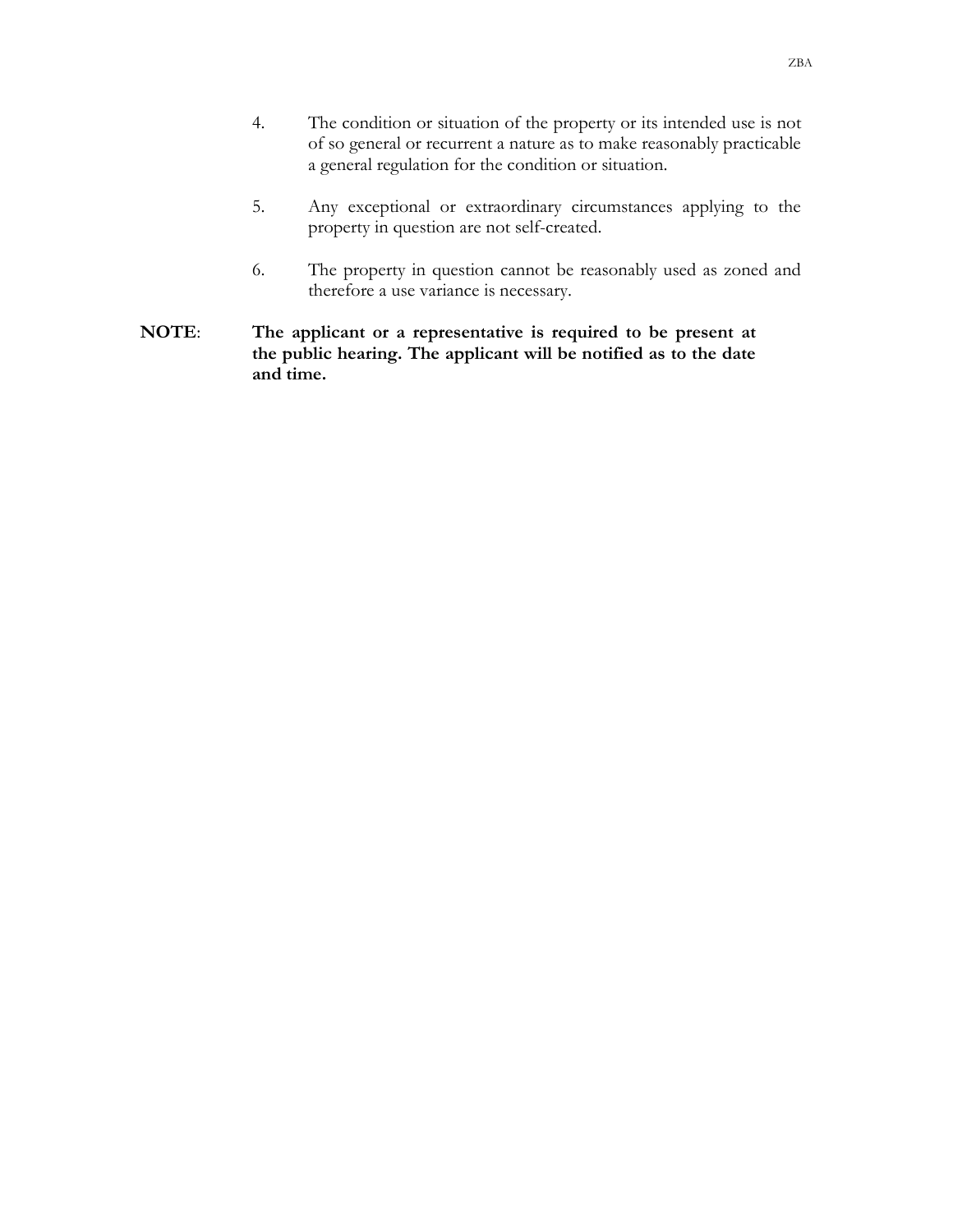- 4. The condition or situation of the property or its intended use is not of so general or recurrent a nature as to make reasonably practicable a general regulation for the condition or situation.
- 5. Any exceptional or extraordinary circumstances applying to the property in question are not self-created.
- 6. The property in question cannot be reasonably used as zoned and therefore a use variance is necessary.
- **NOTE**: **The applicant or a representative is required to be present at the public hearing. The applicant will be notified as to the date and time.**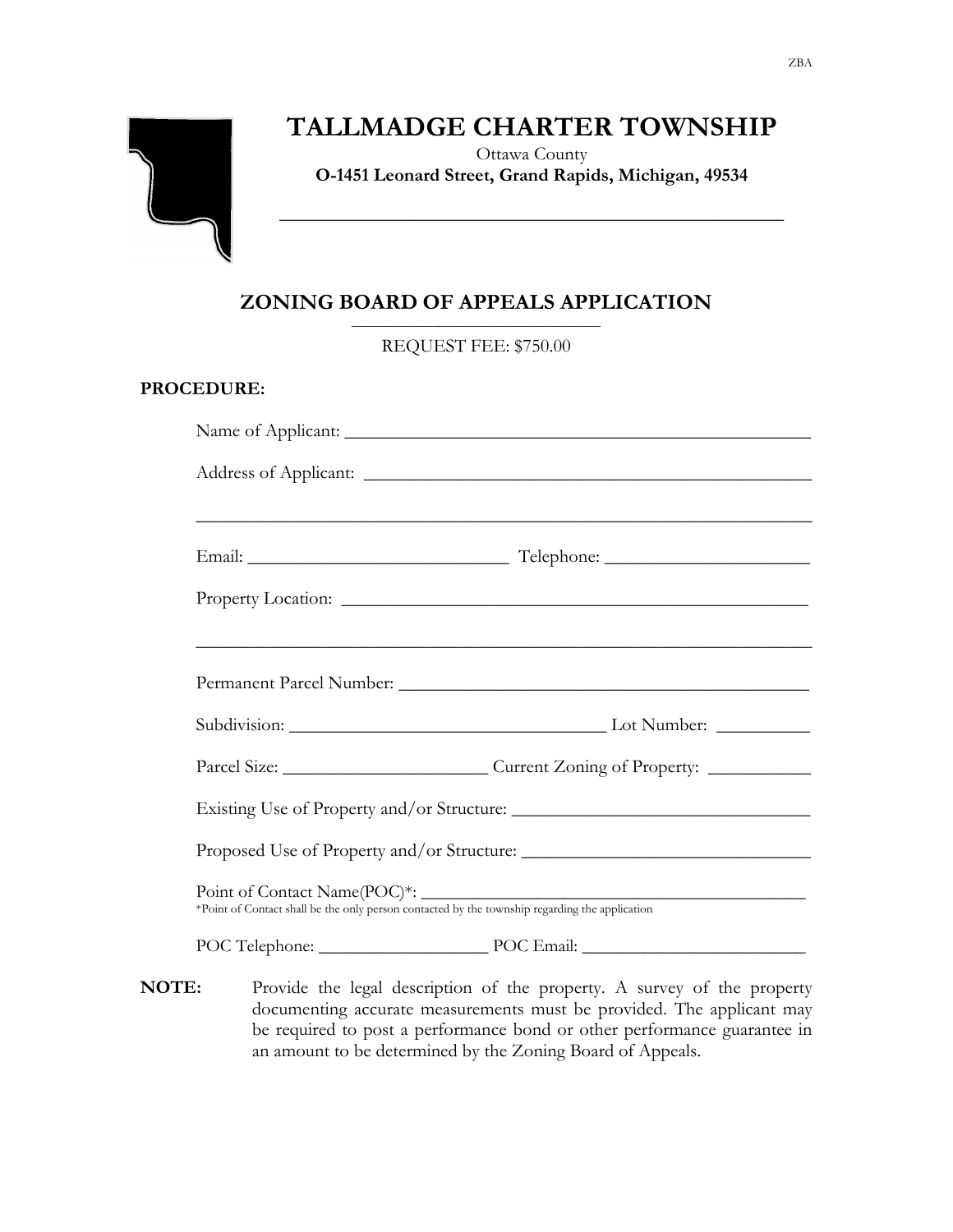# **TALLMADGE CHARTER TOWNSHIP**

Ottawa County **O-1451 Leonard Street, Grand Rapids, Michigan, 49534**

**\_\_\_\_\_\_\_\_\_\_\_\_\_\_\_\_\_\_\_\_\_\_\_\_\_\_\_\_\_\_\_\_\_\_\_\_\_\_\_\_\_\_\_\_\_\_\_\_\_\_\_\_\_\_**

#### **ZONING BOARD OF APPEALS APPLICATION** \_\_\_\_\_\_\_\_\_\_\_\_\_\_\_\_\_\_\_\_\_\_\_\_\_\_\_\_\_\_\_\_\_\_\_\_\_\_\_\_

REQUEST FEE: \$750.00

# **PROCEDURE:**

| <u> 1999 - Jan James James James James James James James James James James James James James James James James J</u> |
|----------------------------------------------------------------------------------------------------------------------|
|                                                                                                                      |
|                                                                                                                      |
|                                                                                                                      |
|                                                                                                                      |
|                                                                                                                      |
|                                                                                                                      |
| POC Telephone: POC Email:                                                                                            |

**NOTE:** Provide the legal description of the property. A survey of the property documenting accurate measurements must be provided. The applicant may be required to post a performance bond or other performance guarantee in an amount to be determined by the Zoning Board of Appeals.